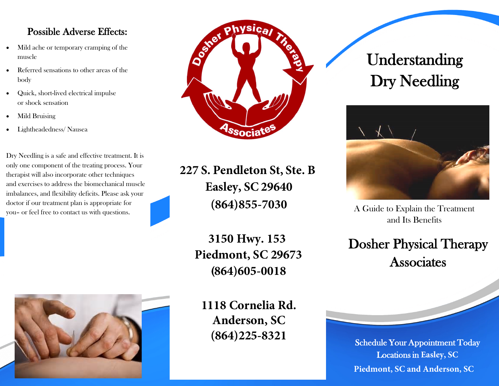# Possible Adverse Effects:

- Mild ache or temporary cramping of the muscle
- Referred sensations to other areas of the body
- Quick, short-lived electrical impulse or shock sensation
- Mild Bruising
- Lightheadedness/ Nausea

Dry Needling is a safe and effective treatment. It is only one component of the treating process. Your therapist will also incorporate other techniques and exercises to address the biomechanical muscle imbalances, and flexibility deficits. Please ask your doctor if our treatment plan is appropriate for you– or feel free to contact us with questions.



**227 S. Pendleton St, Ste. B Easley, SC 29640 (864)855-7030**

> **3150 Hwy. 153 Piedmont, SC 29673** (**864)605-0018**



**1118 Cornelia Rd. Anderson, SC (864)225-8321**

# Understanding Dry Needling



A Guide to Explain the Treatment and Its Benefits

Dosher Physical Therapy **Associates** 

Schedule Your Appointment Today Locations in **Easley, SC Piedmont, SC and Anderson, SC**